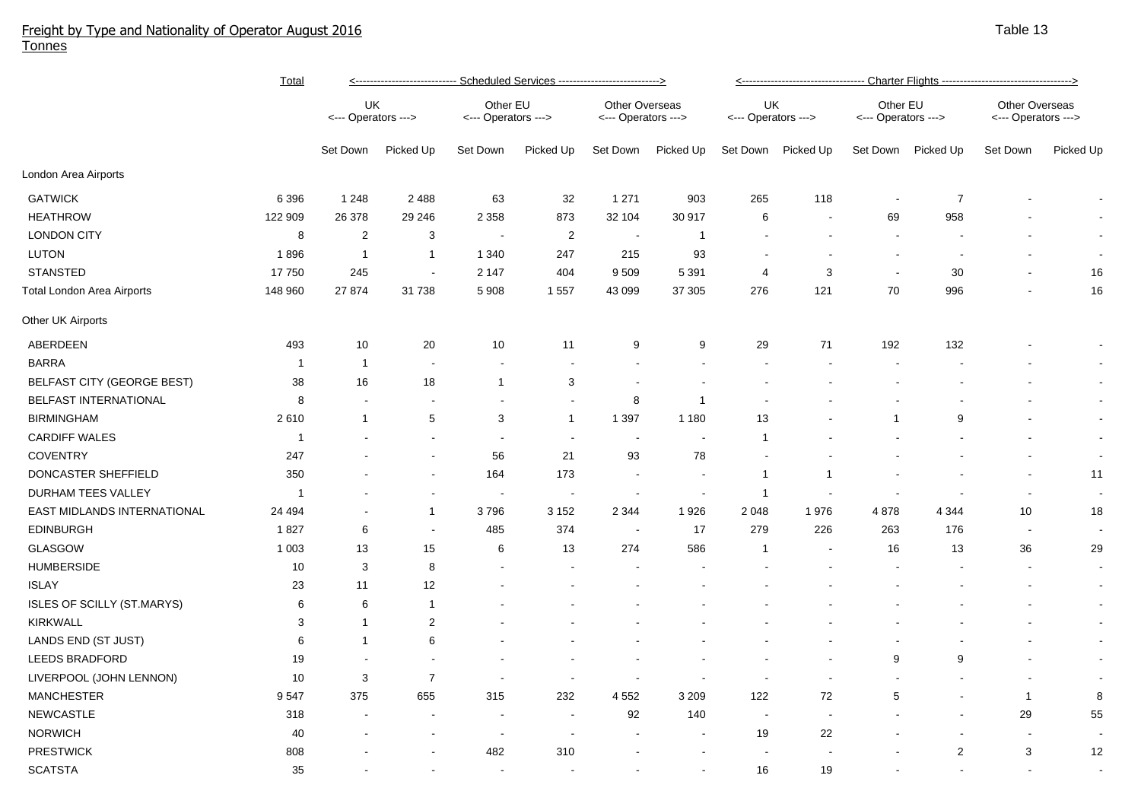## Freight by Type and Nationality of Operator August 2016 Tonnes

|                             | <b>Total</b> | <--------------------------- Scheduled Services ---------------------------> |                          |                                 |                |                                       |                |                           | <---------------------------------- Charter Flights --------------------------------->> |                                 |                |                                       |                |  |  |
|-----------------------------|--------------|------------------------------------------------------------------------------|--------------------------|---------------------------------|----------------|---------------------------------------|----------------|---------------------------|-----------------------------------------------------------------------------------------|---------------------------------|----------------|---------------------------------------|----------------|--|--|
|                             |              | UK<br><--- Operators --->                                                    |                          | Other EU<br><--- Operators ---> |                | Other Overseas<br><--- Operators ---> |                | UK<br><--- Operators ---> |                                                                                         | Other EU<br><--- Operators ---> |                | Other Overseas<br><--- Operators ---> |                |  |  |
|                             |              | Set Down                                                                     | Picked Up                | Set Down                        | Picked Up      | Set Down                              | Picked Up      | Set Down                  | Picked Up                                                                               | Set Down                        | Picked Up      | Set Down                              | Picked Up      |  |  |
| London Area Airports        |              |                                                                              |                          |                                 |                |                                       |                |                           |                                                                                         |                                 |                |                                       |                |  |  |
| <b>GATWICK</b>              | 6 3 9 6      | 1 2 4 8                                                                      | 2 4 8 8                  | 63                              | 32             | 1 2 7 1                               | 903            | 265                       | 118                                                                                     |                                 | $\overline{7}$ |                                       |                |  |  |
| <b>HEATHROW</b>             | 122 909      | 26 378                                                                       | 29 246                   | 2 3 5 8                         | 873            | 32 104                                | 30 917         | 6                         |                                                                                         | 69                              | 958            |                                       |                |  |  |
| <b>LONDON CITY</b>          | 8            | $\overline{2}$                                                               | 3                        | $\blacksquare$                  | $\overline{2}$ | $\sim$                                | $\mathbf{1}$   |                           |                                                                                         |                                 |                |                                       |                |  |  |
| <b>LUTON</b>                | 1896         | $\mathbf{1}$                                                                 | $\mathbf{1}$             | 1 3 4 0                         | 247            | 215                                   | 93             | $\overline{\phantom{a}}$  | ÷                                                                                       |                                 |                |                                       |                |  |  |
| <b>STANSTED</b>             | 17750        | 245                                                                          | $\sim$                   | 2 1 4 7                         | 404            | 9509                                  | 5 3 9 1        | $\overline{4}$            | 3                                                                                       | $\sim$                          | 30             |                                       | 16             |  |  |
| Total London Area Airports  | 148 960      | 27 874                                                                       | 31 738                   | 5 9 0 8                         | 1 5 5 7        | 43 099                                | 37 305         | 276                       | 121                                                                                     | 70                              | 996            |                                       | 16             |  |  |
| Other UK Airports           |              |                                                                              |                          |                                 |                |                                       |                |                           |                                                                                         |                                 |                |                                       |                |  |  |
| ABERDEEN                    | 493          | 10                                                                           | 20                       | 10                              | 11             | 9                                     | 9              | 29                        | 71                                                                                      | 192                             | 132            |                                       |                |  |  |
| <b>BARRA</b>                | $\mathbf{1}$ | $\mathbf{1}$                                                                 | $\overline{\phantom{a}}$ | $\blacksquare$                  |                |                                       |                |                           |                                                                                         |                                 |                |                                       | $\sim$         |  |  |
| BELFAST CITY (GEORGE BEST)  | 38           | 16                                                                           | 18                       | $\overline{1}$                  | 3              |                                       |                |                           |                                                                                         |                                 |                |                                       | $\sim$         |  |  |
| BELFAST INTERNATIONAL       | 8            | $\overline{\phantom{a}}$                                                     | $\overline{\phantom{a}}$ | $\blacksquare$                  |                | 8                                     | $\mathbf 1$    |                           |                                                                                         |                                 |                |                                       | $\blacksquare$ |  |  |
| <b>BIRMINGHAM</b>           | 2610         | $\mathbf{1}$                                                                 | $\sqrt{5}$               | 3                               | $\mathbf{1}$   | 1 3 9 7                               | 1 1 8 0        | 13                        |                                                                                         | $\mathbf 1$                     | 9              |                                       | $\blacksquare$ |  |  |
| <b>CARDIFF WALES</b>        | $\mathbf{1}$ |                                                                              | $\blacksquare$           | $\overline{\phantom{a}}$        | $\sim$         | $\overline{\phantom{a}}$              | $\blacksquare$ | $\overline{1}$            |                                                                                         |                                 |                |                                       | $\sim$         |  |  |
| <b>COVENTRY</b>             | 247          |                                                                              | $\blacksquare$           | 56                              | 21             | 93                                    | 78             |                           |                                                                                         |                                 |                |                                       | $\sim$         |  |  |
| DONCASTER SHEFFIELD         | 350          |                                                                              | $\blacksquare$           | 164                             | 173            |                                       | $\blacksquare$ | $\overline{1}$            | $\mathbf 1$                                                                             |                                 |                |                                       | 11             |  |  |
| DURHAM TEES VALLEY          | -1           |                                                                              | $\blacksquare$           | $\blacksquare$                  |                |                                       | $\blacksquare$ | $\overline{1}$            |                                                                                         |                                 |                | $\blacksquare$                        | $\sim$         |  |  |
| EAST MIDLANDS INTERNATIONAL | 24 4 94      |                                                                              | $\mathbf{1}$             | 3796                            | 3 1 5 2        | 2 3 4 4                               | 1926           | 2 0 4 8                   | 1976                                                                                    | 4878                            | 4 3 4 4        | 10                                    | 18             |  |  |
| <b>EDINBURGH</b>            | 1827         | 6                                                                            | $\blacksquare$           | 485                             | 374            |                                       | 17             | 279                       | 226                                                                                     | 263                             | 176            | $\sim$                                | $\sim$         |  |  |
| <b>GLASGOW</b>              | 1 0 0 3      | 13                                                                           | 15                       | 6                               | 13             | 274                                   | 586            | $\overline{1}$            | $\overline{\phantom{a}}$                                                                | 16                              | 13             | 36                                    | 29             |  |  |
| <b>HUMBERSIDE</b>           | 10           | 3                                                                            | 8                        | $\blacksquare$                  |                |                                       |                |                           |                                                                                         |                                 |                | $\blacksquare$                        | $\sim$         |  |  |
| <b>ISLAY</b>                | 23           | 11                                                                           | 12                       |                                 |                |                                       |                |                           |                                                                                         |                                 |                | $\blacksquare$                        | $\sim$         |  |  |
| ISLES OF SCILLY (ST.MARYS)  | 6            | 6                                                                            | $\mathbf{1}$             |                                 |                |                                       |                |                           |                                                                                         |                                 |                |                                       | $\sim$         |  |  |
| <b>KIRKWALL</b>             | 3            | $\mathbf{1}$                                                                 | $\overline{2}$           |                                 |                |                                       |                |                           |                                                                                         |                                 |                |                                       | $\blacksquare$ |  |  |
| LANDS END (ST JUST)         | 6            | $\mathbf{1}$                                                                 | $\,6\,$                  |                                 |                |                                       |                |                           |                                                                                         |                                 |                |                                       | $\blacksquare$ |  |  |
| LEEDS BRADFORD              | 19           |                                                                              |                          |                                 |                |                                       |                |                           |                                                                                         | 9                               | 9              |                                       | $\sim$         |  |  |
| LIVERPOOL (JOHN LENNON)     | 10           | 3                                                                            | $\overline{7}$           |                                 |                |                                       |                |                           |                                                                                         |                                 |                |                                       | $\sim$         |  |  |
| <b>MANCHESTER</b>           | 9547         | 375                                                                          | 655                      | 315                             | 232            | 4 5 5 2                               | 3 2 0 9        | 122                       | 72                                                                                      | 5                               |                | $\mathbf 1$                           | 8              |  |  |
| <b>NEWCASTLE</b>            | 318          |                                                                              |                          |                                 |                | 92                                    | 140            | $\sim$                    | $\overline{\phantom{a}}$                                                                |                                 |                | 29                                    | 55             |  |  |
| <b>NORWICH</b>              | 40           |                                                                              |                          |                                 |                |                                       | $\blacksquare$ | 19                        | 22                                                                                      |                                 |                | $\blacksquare$                        |                |  |  |
| <b>PRESTWICK</b>            | 808          |                                                                              |                          | 482                             | 310            |                                       |                |                           |                                                                                         |                                 | $\sqrt{2}$     | 3                                     | 12             |  |  |
| <b>SCATSTA</b>              | 35           |                                                                              |                          | $\overline{a}$                  |                |                                       | $\sim$         | 16                        | 19                                                                                      |                                 |                |                                       |                |  |  |